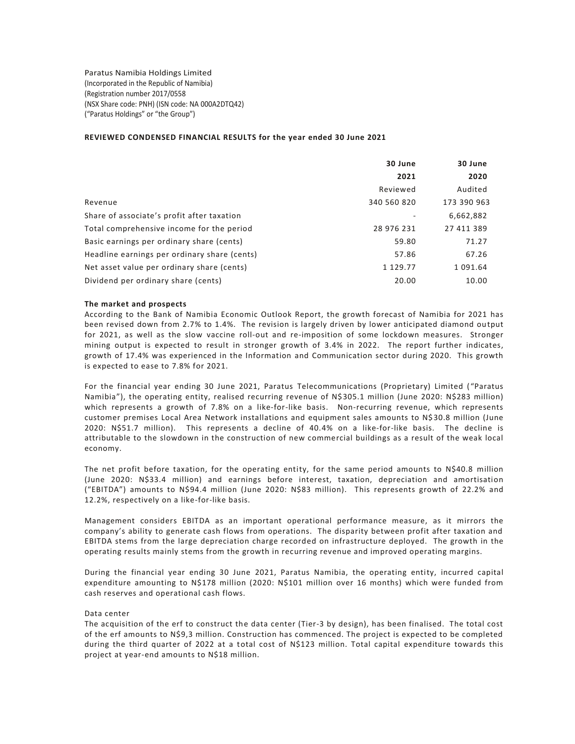Paratus Namibia Holdings Limited (Incorporated in the Republic of Namibia) (Registration number 2017/0558 (NSX Share code: PNH) (ISN code: NA 000A2DTQ42) ("Paratus Holdings" or "the Group")

# **REVIEWED CONDENSED FINANCIAL RESULTS for the year ended 30 June 2021**

|                                              | 30 June     | 30 June     |
|----------------------------------------------|-------------|-------------|
|                                              | 2021        | 2020        |
|                                              | Reviewed    | Audited     |
| Revenue                                      | 340 560 820 | 173 390 963 |
| Share of associate's profit after taxation   |             | 6,662,882   |
| Total comprehensive income for the period    | 28 976 231  | 27 411 389  |
| Basic earnings per ordinary share (cents)    | 59.80       | 71.27       |
| Headline earnings per ordinary share (cents) | 57.86       | 67.26       |
| Net asset value per ordinary share (cents)   | 1 129.77    | 1 091.64    |
| Dividend per ordinary share (cents)          | 20.00       | 10.00       |

#### **The market and prospects**

According to the Bank of Namibia Economic Outlook Report, the growth forecast of Namibia for 2021 has been revised down from 2.7% to 1.4%. The revision is largely driven by lower anticipated diamond output for 2021, as well as the slow vaccine roll-out and re-imposition of some lockdown measures. Stronger mining output is expected to result in stronger growth of 3.4% in 2022. The report further indicates, growth of 17.4% was experienced in the Information and Communication sector during 2020. This growth is expected to ease to 7.8% for 2021.

For the financial year ending 30 June 2021, Paratus Telecommunications (Proprietary) Limited ( "Paratus Namibia"), the operating entity, realised recurring revenue of N\$305.1 million (June 2020: N\$283 million) which represents a growth of 7.8% on a like-for-like basis. Non-recurring revenue, which represents customer premises Local Area Network installations and equipment sales amounts to N\$ 30.8 million (June 2020: N\$51.7 million). This represents a decline of 40.4% on a like-for-like basis. The decline is attributable to the slowdown in the construction of new commercial buildings as a result of the weak local economy.

The net profit before taxation, for the operating entity, for the same period amounts to N\$40.8 million (June 2020: N\$33.4 million) and earnings before interest, taxation, depreciation and amortisation ("EBITDA") amounts to N\$94.4 million (June 2020: N\$83 million). This represents growth of 22.2% and 12.2%, respectively on a like-for-like basis.

Management considers EBITDA as an important operational performance measure, as it mirrors the company's ability to generate cash flows from operations. The disparity between profit after taxation and EBITDA stems from the large depreciation charge recorded on infrastructure deployed. The growth in the operating results mainly stems from the growth in recurring revenue and improved operating margins.

During the financial year ending 30 June 2021, Paratus Namibia, the operating entity, incurred capital expenditure amounting to N\$178 million (2020: N\$101 million over 16 months) which were funded from cash reserves and operational cash flows.

#### Data center

The acquisition of the erf to construct the data center (Tier-3 by design), has been finalised. The total cost of the erf amounts to N\$9,3 million. Construction has commenced. The project is expected to be completed during the third quarter of 2022 at a total cost of N\$123 million. Total capital expenditure towards this project at year-end amounts to N\$18 million.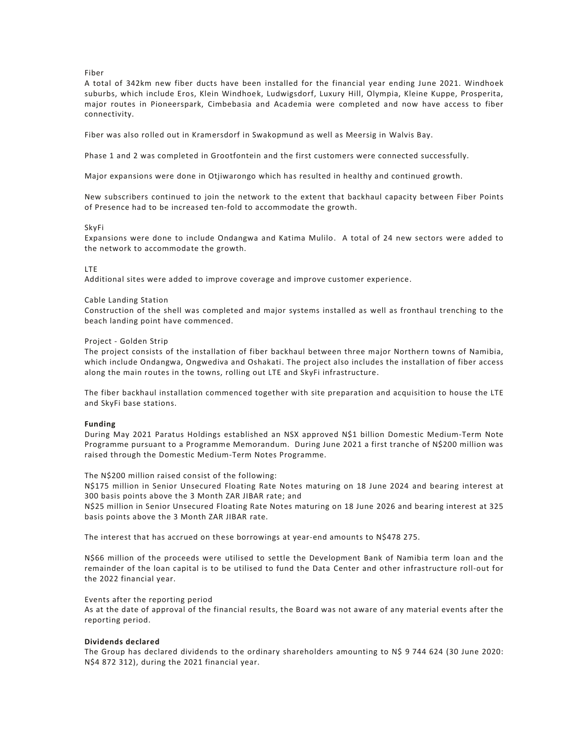# Fiber

A total of 342km new fiber ducts have been installed for the financial year ending June 2021. Windhoek suburbs, which include Eros, Klein Windhoek, Ludwigsdorf, Luxury Hill, Olympia, Kleine Kuppe, Prosperita, major routes in Pioneerspark, Cimbebasia and Academia were completed and now have access to fiber connectivity.

Fiber was also rolled out in Kramersdorf in Swakopmund as well as Meersig in Walvis Bay.

Phase 1 and 2 was completed in Grootfontein and the first customers were connected successfully.

Major expansions were done in Otjiwarongo which has resulted in healthy and continued growth.

New subscribers continued to join the network to the extent that backhaul capacity between Fiber Points of Presence had to be increased ten-fold to accommodate the growth.

#### SkyFi

Expansions were done to include Ondangwa and Katima Mulilo. A total of 24 new sectors were added to the network to accommodate the growth.

#### LTE

Additional sites were added to improve coverage and improve customer experience.

#### Cable Landing Station

Construction of the shell was completed and major systems installed as well as fronthaul trenching to the beach landing point have commenced.

#### Project - Golden Strip

The project consists of the installation of fiber backhaul between three major Northern towns of Namibia, which include Ondangwa, Ongwediva and Oshakati. The project also includes the installation of fiber access along the main routes in the towns, rolling out LTE and SkyFi infrastructure.

The fiber backhaul installation commenced together with site preparation and acquisition to house the LTE and SkyFi base stations.

# **Funding**

During May 2021 Paratus Holdings established an NSX approved N\$1 billion Domestic Medium-Term Note Programme pursuant to a Programme Memorandum. During June 2021 a first tranche of N\$200 million was raised through the Domestic Medium-Term Notes Programme.

The N\$200 million raised consist of the following:

N\$175 million in Senior Unsecured Floating Rate Notes maturing on 18 June 2024 and bearing interest at 300 basis points above the 3 Month ZAR JIBAR rate; and

N\$25 million in Senior Unsecured Floating Rate Notes maturing on 18 June 2026 and bearing interest at 325 basis points above the 3 Month ZAR JIBAR rate.

The interest that has accrued on these borrowings at year-end amounts to N\$478 275.

N\$66 million of the proceeds were utilised to settle the Development Bank of Namibia term loan and the remainder of the loan capital is to be utilised to fund the Data Center and other infrastructure roll-out for the 2022 financial year.

#### Events after the reporting period

As at the date of approval of the financial results, the Board was not aware of any material events after the reporting period.

# **Dividends declared**

The Group has declared dividends to the ordinary shareholders amounting to N\$ 9 744 624 (30 June 2020: N\$4 872 312), during the 2021 financial year.